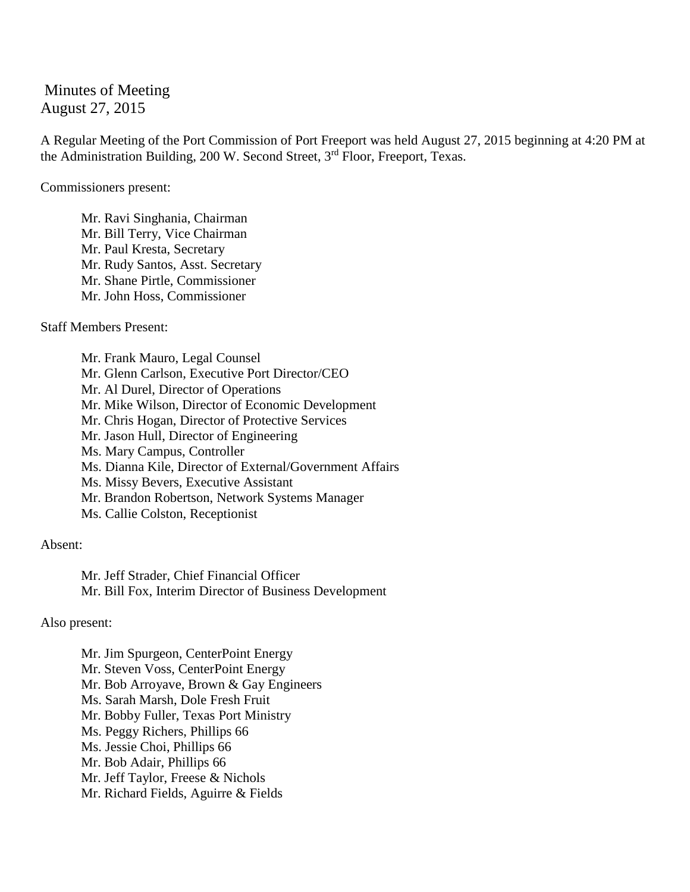Minutes of Meeting August 27, 2015

A Regular Meeting of the Port Commission of Port Freeport was held August 27, 2015 beginning at 4:20 PM at the Administration Building, 200 W. Second Street, 3<sup>rd</sup> Floor, Freeport, Texas.

Commissioners present:

Mr. Ravi Singhania, Chairman Mr. Bill Terry, Vice Chairman Mr. Paul Kresta, Secretary Mr. Rudy Santos, Asst. Secretary Mr. Shane Pirtle, Commissioner Mr. John Hoss, Commissioner

Staff Members Present:

Mr. Frank Mauro, Legal Counsel Mr. Glenn Carlson, Executive Port Director/CEO Mr. Al Durel, Director of Operations Mr. Mike Wilson, Director of Economic Development Mr. Chris Hogan, Director of Protective Services Mr. Jason Hull, Director of Engineering Ms. Mary Campus, Controller Ms. Dianna Kile, Director of External/Government Affairs Ms. Missy Bevers, Executive Assistant Mr. Brandon Robertson, Network Systems Manager Ms. Callie Colston, Receptionist

Absent:

Mr. Jeff Strader, Chief Financial Officer Mr. Bill Fox, Interim Director of Business Development

Also present:

Mr. Jim Spurgeon, CenterPoint Energy Mr. Steven Voss, CenterPoint Energy Mr. Bob Arroyave, Brown & Gay Engineers Ms. Sarah Marsh, Dole Fresh Fruit Mr. Bobby Fuller, Texas Port Ministry Ms. Peggy Richers, Phillips 66 Ms. Jessie Choi, Phillips 66 Mr. Bob Adair, Phillips 66 Mr. Jeff Taylor, Freese & Nichols Mr. Richard Fields, Aguirre & Fields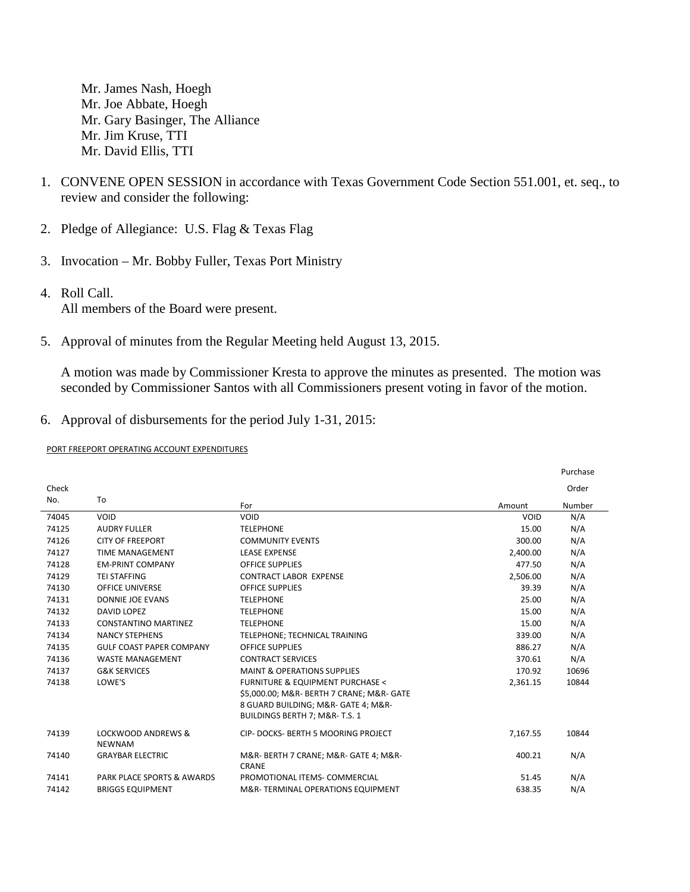Mr. James Nash, Hoegh Mr. Joe Abbate, Hoegh Mr. Gary Basinger, The Alliance Mr. Jim Kruse, TTI Mr. David Ellis, TTI

- 1. CONVENE OPEN SESSION in accordance with Texas Government Code Section 551.001, et. seq., to review and consider the following:
- 2. Pledge of Allegiance: U.S. Flag & Texas Flag
- 3. Invocation Mr. Bobby Fuller, Texas Port Ministry
- 4. Roll Call. All members of the Board were present.
- 5. Approval of minutes from the Regular Meeting held August 13, 2015.

A motion was made by Commissioner Kresta to approve the minutes as presented. The motion was seconded by Commissioner Santos with all Commissioners present voting in favor of the motion.

## 6. Approval of disbursements for the period July 1-31, 2015:

PORT FREEPORT OPERATING ACCOUNT EXPENDITURES

|       |                                                |                                                |          | Purchase |
|-------|------------------------------------------------|------------------------------------------------|----------|----------|
| Check |                                                |                                                |          | Order    |
| No.   | To                                             | For                                            | Amount   | Number   |
| 74045 | VOID                                           | VOID                                           | VOID     | N/A      |
| 74125 | <b>AUDRY FULLER</b>                            | <b>TELEPHONE</b>                               | 15.00    | N/A      |
| 74126 | <b>CITY OF FREEPORT</b>                        | <b>COMMUNITY EVENTS</b>                        | 300.00   | N/A      |
| 74127 | <b>TIME MANAGEMENT</b>                         | <b>LEASE EXPENSE</b>                           | 2,400.00 | N/A      |
| 74128 | <b>EM-PRINT COMPANY</b>                        | <b>OFFICE SUPPLIES</b>                         | 477.50   | N/A      |
| 74129 | <b>TEI STAFFING</b>                            | <b>CONTRACT LABOR EXPENSE</b>                  | 2,506.00 | N/A      |
| 74130 | <b>OFFICE UNIVERSE</b>                         | <b>OFFICE SUPPLIES</b>                         | 39.39    | N/A      |
| 74131 | DONNIE JOE EVANS                               | <b>TELEPHONE</b>                               | 25.00    | N/A      |
| 74132 | DAVID LOPEZ                                    | <b>TELEPHONE</b>                               | 15.00    | N/A      |
| 74133 | <b>CONSTANTINO MARTINEZ</b>                    | <b>TELEPHONE</b>                               | 15.00    | N/A      |
| 74134 | <b>NANCY STEPHENS</b>                          | TELEPHONE; TECHNICAL TRAINING                  | 339.00   | N/A      |
| 74135 | <b>GULF COAST PAPER COMPANY</b>                | <b>OFFICE SUPPLIES</b>                         | 886.27   | N/A      |
| 74136 | <b>WASTE MANAGEMENT</b>                        | <b>CONTRACT SERVICES</b>                       | 370.61   | N/A      |
| 74137 | <b>G&amp;K SERVICES</b>                        | <b>MAINT &amp; OPERATIONS SUPPLIES</b>         | 170.92   | 10696    |
| 74138 | LOWE'S                                         | <b>FURNITURE &amp; EQUIPMENT PURCHASE &lt;</b> | 2,361.15 | 10844    |
|       |                                                | \$5,000.00; M&R- BERTH 7 CRANE; M&R- GATE      |          |          |
|       |                                                | 8 GUARD BUILDING; M&R- GATE 4; M&R-            |          |          |
|       |                                                | BUILDINGS BERTH 7; M&R-T.S. 1                  |          |          |
| 74139 | <b>LOCKWOOD ANDREWS &amp;</b><br><b>NEWNAM</b> | CIP- DOCKS- BERTH 5 MOORING PROJECT            | 7,167.55 | 10844    |
| 74140 | <b>GRAYBAR ELECTRIC</b>                        | M&R- BERTH 7 CRANE; M&R- GATE 4; M&R-<br>CRANE | 400.21   | N/A      |
| 74141 | <b>PARK PLACE SPORTS &amp; AWARDS</b>          | PROMOTIONAL ITEMS- COMMERCIAL                  | 51.45    | N/A      |
| 74142 | <b>BRIGGS EQUIPMENT</b>                        | M&R-TERMINAL OPERATIONS EQUIPMENT              | 638.35   | N/A      |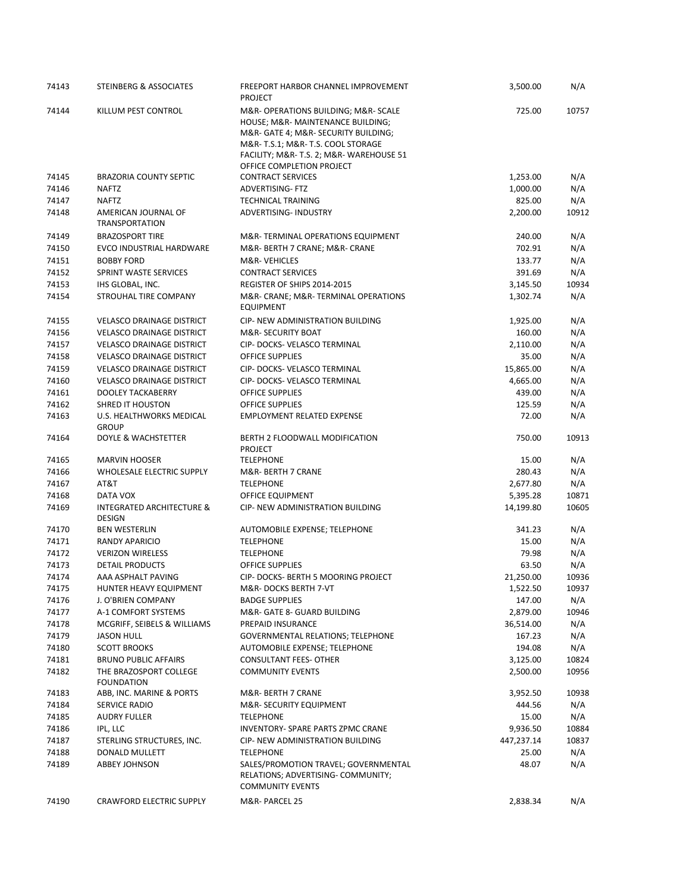| 74143 | STEINBERG & ASSOCIATES                                | FREEPORT HARBOR CHANNEL IMPROVEMENT<br><b>PROJECT</b>                                                                                                                                                                         | 3,500.00   | N/A   |
|-------|-------------------------------------------------------|-------------------------------------------------------------------------------------------------------------------------------------------------------------------------------------------------------------------------------|------------|-------|
| 74144 | KILLUM PEST CONTROL                                   | M&R- OPERATIONS BUILDING; M&R- SCALE<br>HOUSE; M&R- MAINTENANCE BUILDING;<br>M&R- GATE 4; M&R- SECURITY BUILDING;<br>M&R-T.S.1 M&R-T.S. COOL STORAGE<br>FACILITY; M&R- T.S. 2; M&R- WAREHOUSE 51<br>OFFICE COMPLETION PROJECT | 725.00     | 10757 |
| 74145 | <b>BRAZORIA COUNTY SEPTIC</b>                         | <b>CONTRACT SERVICES</b>                                                                                                                                                                                                      | 1,253.00   | N/A   |
| 74146 | <b>NAFTZ</b>                                          | ADVERTISING- FTZ                                                                                                                                                                                                              | 1,000.00   | N/A   |
| 74147 | <b>NAFTZ</b>                                          | <b>TECHNICAL TRAINING</b>                                                                                                                                                                                                     | 825.00     | N/A   |
| 74148 | AMERICAN JOURNAL OF<br><b>TRANSPORTATION</b>          | ADVERTISING- INDUSTRY                                                                                                                                                                                                         | 2,200.00   | 10912 |
| 74149 | <b>BRAZOSPORT TIRE</b>                                | M&R-TERMINAL OPERATIONS EQUIPMENT                                                                                                                                                                                             | 240.00     | N/A   |
| 74150 | EVCO INDUSTRIAL HARDWARE                              | M&R- BERTH 7 CRANE; M&R- CRANE                                                                                                                                                                                                | 702.91     | N/A   |
| 74151 | <b>BOBBY FORD</b>                                     | M&R-VEHICLES                                                                                                                                                                                                                  | 133.77     | N/A   |
| 74152 | SPRINT WASTE SERVICES                                 | <b>CONTRACT SERVICES</b>                                                                                                                                                                                                      | 391.69     | N/A   |
| 74153 | IHS GLOBAL, INC.                                      | REGISTER OF SHIPS 2014-2015                                                                                                                                                                                                   | 3,145.50   | 10934 |
| 74154 | STROUHAL TIRE COMPANY                                 | M&R- CRANE; M&R- TERMINAL OPERATIONS<br><b>EQUIPMENT</b>                                                                                                                                                                      | 1,302.74   | N/A   |
| 74155 | <b>VELASCO DRAINAGE DISTRICT</b>                      | CIP- NEW ADMINISTRATION BUILDING                                                                                                                                                                                              | 1,925.00   | N/A   |
| 74156 | <b>VELASCO DRAINAGE DISTRICT</b>                      | M&R- SECURITY BOAT                                                                                                                                                                                                            | 160.00     | N/A   |
| 74157 | <b>VELASCO DRAINAGE DISTRICT</b>                      | CIP-DOCKS-VELASCO TERMINAL                                                                                                                                                                                                    | 2,110.00   | N/A   |
| 74158 | <b>VELASCO DRAINAGE DISTRICT</b>                      | <b>OFFICE SUPPLIES</b>                                                                                                                                                                                                        | 35.00      | N/A   |
| 74159 | <b>VELASCO DRAINAGE DISTRICT</b>                      | CIP- DOCKS- VELASCO TERMINAL                                                                                                                                                                                                  | 15,865.00  | N/A   |
| 74160 | <b>VELASCO DRAINAGE DISTRICT</b>                      | CIP- DOCKS- VELASCO TERMINAL                                                                                                                                                                                                  | 4,665.00   | N/A   |
| 74161 | <b>DOOLEY TACKABERRY</b>                              | <b>OFFICE SUPPLIES</b>                                                                                                                                                                                                        | 439.00     | N/A   |
| 74162 | <b>SHRED IT HOUSTON</b>                               | <b>OFFICE SUPPLIES</b>                                                                                                                                                                                                        | 125.59     | N/A   |
| 74163 | U.S. HEALTHWORKS MEDICAL<br><b>GROUP</b>              | <b>EMPLOYMENT RELATED EXPENSE</b>                                                                                                                                                                                             | 72.00      | N/A   |
| 74164 | DOYLE & WACHSTETTER                                   | BERTH 2 FLOODWALL MODIFICATION<br><b>PROJECT</b>                                                                                                                                                                              | 750.00     | 10913 |
| 74165 | <b>MARVIN HOOSER</b>                                  | <b>TELEPHONE</b>                                                                                                                                                                                                              | 15.00      | N/A   |
| 74166 | WHOLESALE ELECTRIC SUPPLY                             | M&R- BERTH 7 CRANE                                                                                                                                                                                                            | 280.43     | N/A   |
| 74167 | AT&T                                                  | <b>TELEPHONE</b>                                                                                                                                                                                                              | 2,677.80   | N/A   |
| 74168 | DATA VOX                                              | OFFICE EQUIPMENT                                                                                                                                                                                                              | 5,395.28   | 10871 |
| 74169 | <b>INTEGRATED ARCHITECTURE &amp;</b><br><b>DESIGN</b> | CIP- NEW ADMINISTRATION BUILDING                                                                                                                                                                                              | 14,199.80  | 10605 |
| 74170 | <b>BEN WESTERLIN</b>                                  | AUTOMOBILE EXPENSE; TELEPHONE                                                                                                                                                                                                 | 341.23     | N/A   |
| 74171 | RANDY APARICIO                                        | <b>TELEPHONE</b>                                                                                                                                                                                                              | 15.00      | N/A   |
| 74172 | <b>VERIZON WIRELESS</b>                               | <b>TELEPHONE</b>                                                                                                                                                                                                              | 79.98      | N/A   |
| 74173 | DETAIL PRODUCTS                                       | OFFICE SUPPLIES                                                                                                                                                                                                               | 63.50      | N/A   |
| 74174 | AAA ASPHALT PAVING                                    | CIP- DOCKS- BERTH 5 MOORING PROJECT                                                                                                                                                                                           | 21,250.00  | 10936 |
| 74175 | HUNTER HEAVY EQUIPMENT                                | M&R-DOCKS BERTH 7-VT                                                                                                                                                                                                          | 1,522.50   | 10937 |
| 74176 | J. O'BRIEN COMPANY                                    | <b>BADGE SUPPLIES</b>                                                                                                                                                                                                         | 147.00     | N/A   |
| 74177 | A-1 COMFORT SYSTEMS                                   | M&R- GATE 8- GUARD BUILDING                                                                                                                                                                                                   | 2,879.00   | 10946 |
| 74178 | MCGRIFF, SEIBELS & WILLIAMS                           | PREPAID INSURANCE                                                                                                                                                                                                             | 36,514.00  | N/A   |
| 74179 | <b>JASON HULL</b>                                     | GOVERNMENTAL RELATIONS; TELEPHONE                                                                                                                                                                                             | 167.23     | N/A   |
| 74180 | <b>SCOTT BROOKS</b>                                   | AUTOMOBILE EXPENSE; TELEPHONE                                                                                                                                                                                                 | 194.08     | N/A   |
| 74181 | <b>BRUNO PUBLIC AFFAIRS</b>                           | <b>CONSULTANT FEES- OTHER</b>                                                                                                                                                                                                 | 3,125.00   | 10824 |
| 74182 | THE BRAZOSPORT COLLEGE<br><b>FOUNDATION</b>           | <b>COMMUNITY EVENTS</b>                                                                                                                                                                                                       | 2,500.00   | 10956 |
| 74183 | ABB, INC. MARINE & PORTS                              | M&R- BERTH 7 CRANE                                                                                                                                                                                                            | 3,952.50   | 10938 |
| 74184 | SERVICE RADIO                                         | M&R-SECURITY EQUIPMENT                                                                                                                                                                                                        | 444.56     | N/A   |
| 74185 | <b>AUDRY FULLER</b>                                   | <b>TELEPHONE</b>                                                                                                                                                                                                              | 15.00      | N/A   |
| 74186 | IPL, LLC                                              | INVENTORY- SPARE PARTS ZPMC CRANE                                                                                                                                                                                             | 9,936.50   | 10884 |
| 74187 | STERLING STRUCTURES, INC.                             | CIP- NEW ADMINISTRATION BUILDING                                                                                                                                                                                              | 447,237.14 | 10837 |
| 74188 | DONALD MULLETT                                        | <b>TELEPHONE</b>                                                                                                                                                                                                              | 25.00      | N/A   |
| 74189 | ABBEY JOHNSON                                         | SALES/PROMOTION TRAVEL; GOVERNMENTAL<br>RELATIONS; ADVERTISING- COMMUNITY;<br><b>COMMUNITY EVENTS</b>                                                                                                                         | 48.07      | N/A   |
| 74190 | <b>CRAWFORD ELECTRIC SUPPLY</b>                       | M&R- PARCEL 25                                                                                                                                                                                                                | 2,838.34   | N/A   |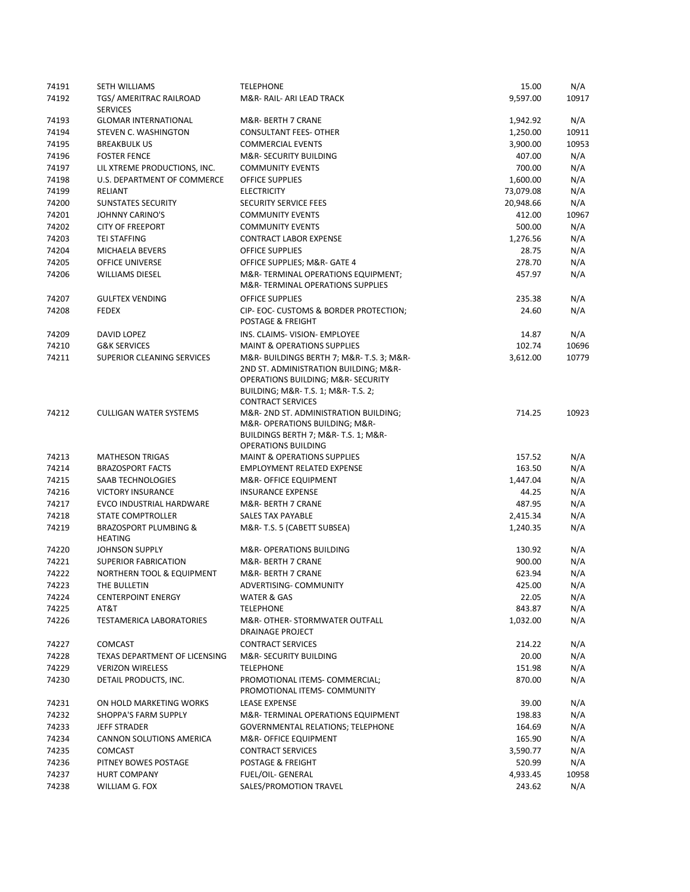| 74191 | <b>SETH WILLIAMS</b>                               | <b>TELEPHONE</b>                                                                                                                                                          | 15.00     | N/A   |
|-------|----------------------------------------------------|---------------------------------------------------------------------------------------------------------------------------------------------------------------------------|-----------|-------|
| 74192 | TGS/ AMERITRAC RAILROAD<br><b>SERVICES</b>         | M&R-RAIL-ARI LEAD TRACK                                                                                                                                                   | 9,597.00  | 10917 |
| 74193 | <b>GLOMAR INTERNATIONAL</b>                        | M&R- BERTH 7 CRANE                                                                                                                                                        | 1,942.92  | N/A   |
| 74194 | STEVEN C. WASHINGTON                               | <b>CONSULTANT FEES- OTHER</b>                                                                                                                                             | 1,250.00  | 10911 |
| 74195 | <b>BREAKBULK US</b>                                | <b>COMMERCIAL EVENTS</b>                                                                                                                                                  | 3,900.00  | 10953 |
| 74196 | <b>FOSTER FENCE</b>                                | <b>M&amp;R- SECURITY BUILDING</b>                                                                                                                                         | 407.00    | N/A   |
| 74197 | LIL XTREME PRODUCTIONS, INC.                       | <b>COMMUNITY EVENTS</b>                                                                                                                                                   | 700.00    | N/A   |
| 74198 | U.S. DEPARTMENT OF COMMERCE                        | <b>OFFICE SUPPLIES</b>                                                                                                                                                    | 1,600.00  | N/A   |
| 74199 | RELIANT                                            | <b>ELECTRICITY</b>                                                                                                                                                        | 73,079.08 | N/A   |
| 74200 | <b>SUNSTATES SECURITY</b>                          | SECURITY SERVICE FEES                                                                                                                                                     | 20,948.66 | N/A   |
| 74201 | <b>JOHNNY CARINO'S</b>                             | <b>COMMUNITY EVENTS</b>                                                                                                                                                   | 412.00    | 10967 |
| 74202 | <b>CITY OF FREEPORT</b>                            | <b>COMMUNITY EVENTS</b>                                                                                                                                                   | 500.00    | N/A   |
| 74203 | <b>TEI STAFFING</b>                                | <b>CONTRACT LABOR EXPENSE</b>                                                                                                                                             | 1,276.56  | N/A   |
| 74204 | MICHAELA BEVERS                                    | <b>OFFICE SUPPLIES</b>                                                                                                                                                    | 28.75     | N/A   |
| 74205 | <b>OFFICE UNIVERSE</b>                             | OFFICE SUPPLIES; M&R- GATE 4                                                                                                                                              | 278.70    | N/A   |
| 74206 | <b>WILLIAMS DIESEL</b>                             | M&R-TERMINAL OPERATIONS EQUIPMENT;                                                                                                                                        | 457.97    | N/A   |
|       |                                                    | M&R-TERMINAL OPERATIONS SUPPLIES                                                                                                                                          |           |       |
| 74207 | <b>GULFTEX VENDING</b>                             | <b>OFFICE SUPPLIES</b>                                                                                                                                                    | 235.38    | N/A   |
| 74208 | <b>FEDEX</b>                                       | CIP- EOC- CUSTOMS & BORDER PROTECTION;<br>POSTAGE & FREIGHT                                                                                                               | 24.60     | N/A   |
| 74209 | DAVID LOPEZ                                        | INS. CLAIMS- VISION- EMPLOYEE                                                                                                                                             | 14.87     | N/A   |
| 74210 | <b>G&amp;K SERVICES</b>                            | <b>MAINT &amp; OPERATIONS SUPPLIES</b>                                                                                                                                    | 102.74    | 10696 |
| 74211 | <b>SUPERIOR CLEANING SERVICES</b>                  | M&R-BUILDINGS BERTH 7; M&R-T.S. 3; M&R-<br>2ND ST. ADMINISTRATION BUILDING; M&R-<br><b>OPERATIONS BUILDING; M&amp;R- SECURITY</b><br>BUILDING; M&R- T.S. 1; M&R- T.S. 2;  | 3,612.00  | 10779 |
| 74212 | <b>CULLIGAN WATER SYSTEMS</b>                      | <b>CONTRACT SERVICES</b><br>M&R- 2ND ST. ADMINISTRATION BUILDING;<br>M&R- OPERATIONS BUILDING; M&R-<br>BUILDINGS BERTH 7; M&R- T.S. 1; M&R-<br><b>OPERATIONS BUILDING</b> | 714.25    | 10923 |
| 74213 | <b>MATHESON TRIGAS</b>                             | <b>MAINT &amp; OPERATIONS SUPPLIES</b>                                                                                                                                    | 157.52    | N/A   |
| 74214 | <b>BRAZOSPORT FACTS</b>                            | <b>EMPLOYMENT RELATED EXPENSE</b>                                                                                                                                         | 163.50    | N/A   |
| 74215 | SAAB TECHNOLOGIES                                  | M&R- OFFICE EQUIPMENT                                                                                                                                                     | 1,447.04  | N/A   |
| 74216 | <b>VICTORY INSURANCE</b>                           | <b>INSURANCE EXPENSE</b>                                                                                                                                                  | 44.25     | N/A   |
| 74217 | EVCO INDUSTRIAL HARDWARE                           | M&R- BERTH 7 CRANE                                                                                                                                                        | 487.95    | N/A   |
| 74218 | <b>STATE COMPTROLLER</b>                           | <b>SALES TAX PAYABLE</b>                                                                                                                                                  | 2,415.34  | N/A   |
| 74219 | <b>BRAZOSPORT PLUMBING &amp;</b><br><b>HEATING</b> | M&R-T.S. 5 (CABETT SUBSEA)                                                                                                                                                | 1,240.35  | N/A   |
| 74220 | JOHNSON SUPPLY                                     | M&R- OPERATIONS BUILDING                                                                                                                                                  | 130.92    | N/A   |
| 74221 | <b>SUPERIOR FABRICATION</b>                        | M&R- BERTH 7 CRANE                                                                                                                                                        | 900.00    | N/A   |
| 74222 | NORTHERN TOOL & EQUIPMENT                          | M&R- BERTH 7 CRANE                                                                                                                                                        | 623.94    | N/A   |
| 74223 | THE BULLETIN                                       | ADVERTISING- COMMUNITY                                                                                                                                                    | 425.00    | N/A   |
| 74224 | <b>CENTERPOINT ENERGY</b>                          | WATER & GAS                                                                                                                                                               | 22.05     | N/A   |
| 74225 | AT&T                                               | <b>TELEPHONE</b>                                                                                                                                                          | 843.87    | N/A   |
| 74226 | <b>TESTAMERICA LABORATORIES</b>                    | M&R- OTHER- STORMWATER OUTFALL<br>DRAINAGE PROJECT                                                                                                                        | 1,032.00  | N/A   |
|       |                                                    | <b>CONTRACT SERVICES</b>                                                                                                                                                  |           |       |
| 74227 | <b>COMCAST</b>                                     |                                                                                                                                                                           | 214.22    | N/A   |
| 74228 | TEXAS DEPARTMENT OF LICENSING                      | M&R- SECURITY BUILDING                                                                                                                                                    | 20.00     | N/A   |
| 74229 | <b>VERIZON WIRELESS</b>                            | <b>TELEPHONE</b>                                                                                                                                                          | 151.98    | N/A   |
| 74230 | DETAIL PRODUCTS, INC.                              | PROMOTIONAL ITEMS- COMMERCIAL;<br>PROMOTIONAL ITEMS- COMMUNITY                                                                                                            | 870.00    | N/A   |
| 74231 | ON HOLD MARKETING WORKS                            | <b>LEASE EXPENSE</b>                                                                                                                                                      | 39.00     | N/A   |
| 74232 | SHOPPA'S FARM SUPPLY                               | M&R-TERMINAL OPERATIONS EQUIPMENT                                                                                                                                         | 198.83    | N/A   |
| 74233 | <b>JEFF STRADER</b>                                | <b>GOVERNMENTAL RELATIONS; TELEPHONE</b>                                                                                                                                  | 164.69    | N/A   |
| 74234 | CANNON SOLUTIONS AMERICA                           | M&R- OFFICE EQUIPMENT                                                                                                                                                     | 165.90    | N/A   |
| 74235 | <b>COMCAST</b>                                     | <b>CONTRACT SERVICES</b>                                                                                                                                                  | 3,590.77  | N/A   |
| 74236 | PITNEY BOWES POSTAGE                               | POSTAGE & FREIGHT                                                                                                                                                         | 520.99    | N/A   |
| 74237 | <b>HURT COMPANY</b>                                | FUEL/OIL- GENERAL                                                                                                                                                         | 4,933.45  | 10958 |
| 74238 | WILLIAM G. FOX                                     | SALES/PROMOTION TRAVEL                                                                                                                                                    | 243.62    | N/A   |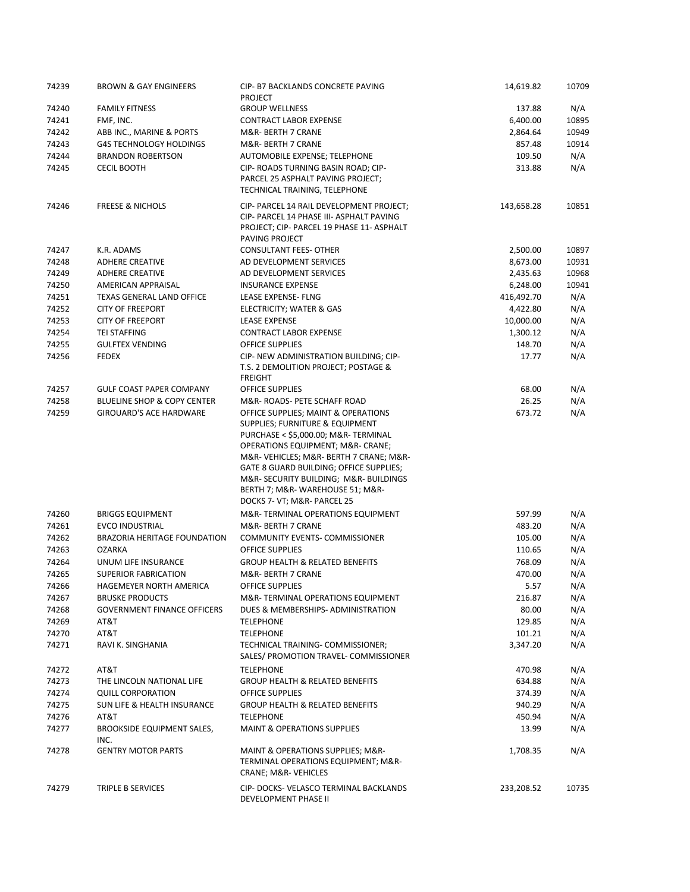| 74239 | <b>BROWN &amp; GAY ENGINEERS</b>   | CIP- B7 BACKLANDS CONCRETE PAVING<br><b>PROJECT</b>                    | 14,619.82  | 10709 |
|-------|------------------------------------|------------------------------------------------------------------------|------------|-------|
| 74240 | <b>FAMILY FITNESS</b>              | <b>GROUP WELLNESS</b>                                                  | 137.88     | N/A   |
| 74241 | FMF, INC.                          | <b>CONTRACT LABOR EXPENSE</b>                                          | 6,400.00   | 10895 |
| 74242 | ABB INC., MARINE & PORTS           | M&R- BERTH 7 CRANE                                                     | 2,864.64   | 10949 |
| 74243 | G4S TECHNOLOGY HOLDINGS            | M&R- BERTH 7 CRANE                                                     | 857.48     | 10914 |
| 74244 | <b>BRANDON ROBERTSON</b>           | AUTOMOBILE EXPENSE; TELEPHONE                                          | 109.50     | N/A   |
| 74245 | <b>CECIL BOOTH</b>                 | CIP- ROADS TURNING BASIN ROAD; CIP-                                    | 313.88     | N/A   |
|       |                                    | PARCEL 25 ASPHALT PAVING PROJECT;                                      |            |       |
|       |                                    | TECHNICAL TRAINING, TELEPHONE                                          |            |       |
| 74246 | <b>FREESE &amp; NICHOLS</b>        | CIP- PARCEL 14 RAIL DEVELOPMENT PROJECT;                               | 143,658.28 | 10851 |
|       |                                    | CIP- PARCEL 14 PHASE III- ASPHALT PAVING                               |            |       |
|       |                                    | PROJECT; CIP- PARCEL 19 PHASE 11- ASPHALT                              |            |       |
|       |                                    | PAVING PROJECT                                                         |            |       |
| 74247 | K.R. ADAMS                         | <b>CONSULTANT FEES- OTHER</b>                                          | 2,500.00   | 10897 |
| 74248 | <b>ADHERE CREATIVE</b>             | AD DEVELOPMENT SERVICES                                                | 8,673.00   | 10931 |
| 74249 | <b>ADHERE CREATIVE</b>             | AD DEVELOPMENT SERVICES                                                | 2,435.63   | 10968 |
| 74250 | AMERICAN APPRAISAL                 | <b>INSURANCE EXPENSE</b>                                               | 6,248.00   | 10941 |
| 74251 | <b>TEXAS GENERAL LAND OFFICE</b>   | LEASE EXPENSE- FLNG                                                    | 416,492.70 | N/A   |
| 74252 | <b>CITY OF FREEPORT</b>            | ELECTRICITY; WATER & GAS                                               | 4,422.80   | N/A   |
| 74253 | <b>CITY OF FREEPORT</b>            | <b>LEASE EXPENSE</b>                                                   | 10,000.00  | N/A   |
| 74254 | <b>TEI STAFFING</b>                | <b>CONTRACT LABOR EXPENSE</b>                                          | 1,300.12   | N/A   |
| 74255 | <b>GULFTEX VENDING</b>             | <b>OFFICE SUPPLIES</b>                                                 | 148.70     | N/A   |
| 74256 | <b>FEDEX</b>                       | CIP- NEW ADMINISTRATION BUILDING; CIP-                                 | 17.77      | N/A   |
|       |                                    | T.S. 2 DEMOLITION PROJECT; POSTAGE &                                   |            |       |
|       |                                    | <b>FREIGHT</b>                                                         |            |       |
| 74257 | <b>GULF COAST PAPER COMPANY</b>    | <b>OFFICE SUPPLIES</b>                                                 | 68.00      | N/A   |
| 74258 | BLUELINE SHOP & COPY CENTER        | M&R-ROADS- PETE SCHAFF ROAD                                            | 26.25      | N/A   |
| 74259 | <b>GIROUARD'S ACE HARDWARE</b>     | OFFICE SUPPLIES; MAINT & OPERATIONS                                    | 673.72     | N/A   |
|       |                                    | SUPPLIES; FURNITURE & EQUIPMENT<br>PURCHASE < \$5,000.00; M&R-TERMINAL |            |       |
|       |                                    | OPERATIONS EQUIPMENT; M&R- CRANE;                                      |            |       |
|       |                                    | M&R- VEHICLES; M&R- BERTH 7 CRANE; M&R-                                |            |       |
|       |                                    | GATE 8 GUARD BUILDING; OFFICE SUPPLIES;                                |            |       |
|       |                                    | M&R- SECURITY BUILDING; M&R- BUILDINGS                                 |            |       |
|       |                                    | BERTH 7; M&R-WAREHOUSE 51; M&R-                                        |            |       |
|       |                                    | DOCKS 7- VT; M&R- PARCEL 25                                            |            |       |
| 74260 | <b>BRIGGS EQUIPMENT</b>            | M&R-TERMINAL OPERATIONS EQUIPMENT                                      | 597.99     | N/A   |
| 74261 | <b>EVCO INDUSTRIAL</b>             | M&R- BERTH 7 CRANE                                                     | 483.20     | N/A   |
| 74262 | BRAZORIA HERITAGE FOUNDATION       | <b>COMMUNITY EVENTS- COMMISSIONER</b>                                  | 105.00     | N/A   |
| 74263 | <b>OZARKA</b>                      | <b>OFFICE SUPPLIES</b>                                                 | 110.65     | N/A   |
| 74264 | UNUM LIFE INSURANCE                | <b>GROUP HEALTH &amp; RELATED BENEFITS</b>                             | 768.09     | N/A   |
| 74265 | <b>SUPERIOR FABRICATION</b>        | M&R- BERTH 7 CRANE                                                     | 470.00     | N/A   |
| 74266 | HAGEMEYER NORTH AMERICA            | OFFICE SUPPLIES                                                        | 5.57       | N/A   |
| 74267 | <b>BRUSKE PRODUCTS</b>             | M&R-TERMINAL OPERATIONS EQUIPMENT                                      | 216.87     | N/A   |
| 74268 | <b>GOVERNMENT FINANCE OFFICERS</b> | DUES & MEMBERSHIPS- ADMINISTRATION                                     | 80.00      | N/A   |
| 74269 | AT&T                               | <b>TELEPHONE</b>                                                       | 129.85     | N/A   |
| 74270 | AT&T                               | <b>TELEPHONE</b>                                                       | 101.21     | N/A   |
| 74271 | RAVI K. SINGHANIA                  | TECHNICAL TRAINING- COMMISSIONER;                                      | 3,347.20   | N/A   |
|       |                                    | SALES/ PROMOTION TRAVEL- COMMISSIONER                                  |            |       |
| 74272 | AT&T                               | <b>TELEPHONE</b>                                                       | 470.98     | N/A   |
| 74273 | THE LINCOLN NATIONAL LIFE          | <b>GROUP HEALTH &amp; RELATED BENEFITS</b>                             | 634.88     | N/A   |
| 74274 | <b>QUILL CORPORATION</b>           | <b>OFFICE SUPPLIES</b>                                                 | 374.39     | N/A   |
| 74275 | SUN LIFE & HEALTH INSURANCE        | <b>GROUP HEALTH &amp; RELATED BENEFITS</b>                             | 940.29     | N/A   |
| 74276 | AT&T                               | <b>TELEPHONE</b>                                                       | 450.94     | N/A   |
| 74277 | <b>BROOKSIDE EQUIPMENT SALES,</b>  | <b>MAINT &amp; OPERATIONS SUPPLIES</b>                                 | 13.99      | N/A   |
|       | INC.                               |                                                                        |            |       |
| 74278 | <b>GENTRY MOTOR PARTS</b>          | MAINT & OPERATIONS SUPPLIES; M&R-                                      | 1,708.35   | N/A   |
|       |                                    | TERMINAL OPERATIONS EQUIPMENT; M&R-                                    |            |       |
|       |                                    | CRANE; M&R-VEHICLES                                                    |            |       |
| 74279 | TRIPLE B SERVICES                  | CIP- DOCKS- VELASCO TERMINAL BACKLANDS                                 | 233,208.52 | 10735 |
|       |                                    | DEVELOPMENT PHASE II                                                   |            |       |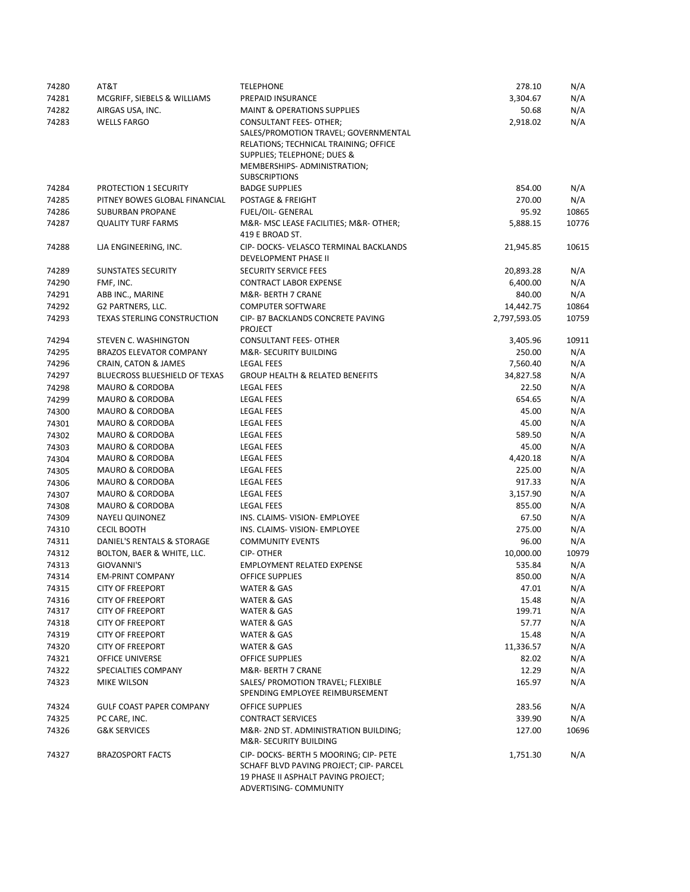| 74280 | AT&T                                 | <b>TELEPHONE</b>                                               | 278.10       | N/A   |
|-------|--------------------------------------|----------------------------------------------------------------|--------------|-------|
| 74281 | MCGRIFF, SIEBELS & WILLIAMS          | PREPAID INSURANCE                                              | 3,304.67     | N/A   |
| 74282 | AIRGAS USA, INC.                     | <b>MAINT &amp; OPERATIONS SUPPLIES</b>                         | 50.68        | N/A   |
| 74283 | <b>WELLS FARGO</b>                   | CONSULTANT FEES- OTHER;                                        | 2,918.02     | N/A   |
|       |                                      | SALES/PROMOTION TRAVEL; GOVERNMENTAL                           |              |       |
|       |                                      | RELATIONS; TECHNICAL TRAINING; OFFICE                          |              |       |
|       |                                      | SUPPLIES; TELEPHONE; DUES &                                    |              |       |
|       |                                      | MEMBERSHIPS- ADMINISTRATION;                                   |              |       |
|       |                                      | <b>SUBSCRIPTIONS</b>                                           |              |       |
| 74284 | PROTECTION 1 SECURITY                | <b>BADGE SUPPLIES</b>                                          | 854.00       | N/A   |
| 74285 | PITNEY BOWES GLOBAL FINANCIAL        | POSTAGE & FREIGHT                                              | 270.00       | N/A   |
| 74286 | <b>SUBURBAN PROPANE</b>              | FUEL/OIL- GENERAL                                              | 95.92        | 10865 |
| 74287 | <b>QUALITY TURF FARMS</b>            | M&R- MSC LEASE FACILITIES; M&R- OTHER;                         | 5,888.15     | 10776 |
|       |                                      | 419 E BROAD ST.                                                |              |       |
| 74288 | LJA ENGINEERING, INC.                | CIP- DOCKS- VELASCO TERMINAL BACKLANDS                         | 21,945.85    | 10615 |
|       |                                      | DEVELOPMENT PHASE II                                           |              |       |
|       |                                      |                                                                |              |       |
| 74289 | <b>SUNSTATES SECURITY</b>            | <b>SECURITY SERVICE FEES</b>                                   | 20,893.28    | N/A   |
| 74290 | FMF, INC.                            | <b>CONTRACT LABOR EXPENSE</b>                                  | 6,400.00     | N/A   |
| 74291 | ABB INC., MARINE                     | M&R- BERTH 7 CRANE                                             | 840.00       | N/A   |
| 74292 | G2 PARTNERS, LLC.                    | <b>COMPUTER SOFTWARE</b>                                       | 14,442.75    | 10864 |
| 74293 | TEXAS STERLING CONSTRUCTION          | CIP- B7 BACKLANDS CONCRETE PAVING                              | 2,797,593.05 | 10759 |
|       |                                      | <b>PROJECT</b>                                                 |              |       |
| 74294 | STEVEN C. WASHINGTON                 | <b>CONSULTANT FEES- OTHER</b>                                  | 3,405.96     | 10911 |
| 74295 | <b>BRAZOS ELEVATOR COMPANY</b>       | M&R- SECURITY BUILDING                                         | 250.00       | N/A   |
| 74296 | CRAIN, CATON & JAMES                 | <b>LEGAL FEES</b>                                              | 7,560.40     | N/A   |
| 74297 | <b>BLUECROSS BLUESHIELD OF TEXAS</b> | <b>GROUP HEALTH &amp; RELATED BENEFITS</b>                     | 34,827.58    | N/A   |
| 74298 | <b>MAURO &amp; CORDOBA</b>           | <b>LEGAL FEES</b>                                              | 22.50        | N/A   |
| 74299 | <b>MAURO &amp; CORDOBA</b>           | LEGAL FEES                                                     | 654.65       | N/A   |
| 74300 | <b>MAURO &amp; CORDOBA</b>           | <b>LEGAL FEES</b>                                              | 45.00        | N/A   |
| 74301 | <b>MAURO &amp; CORDOBA</b>           | <b>LEGAL FEES</b>                                              | 45.00        | N/A   |
| 74302 | MAURO & CORDOBA                      | <b>LEGAL FEES</b>                                              | 589.50       | N/A   |
| 74303 | <b>MAURO &amp; CORDOBA</b>           | <b>LEGAL FEES</b>                                              | 45.00        | N/A   |
| 74304 | MAURO & CORDOBA                      | <b>LEGAL FEES</b>                                              | 4,420.18     | N/A   |
| 74305 | <b>MAURO &amp; CORDOBA</b>           | <b>LEGAL FEES</b>                                              | 225.00       | N/A   |
| 74306 | MAURO & CORDOBA                      | <b>LEGAL FEES</b>                                              | 917.33       | N/A   |
|       | <b>MAURO &amp; CORDOBA</b>           | <b>LEGAL FEES</b>                                              | 3,157.90     | N/A   |
| 74307 | MAURO & CORDOBA                      | <b>LEGAL FEES</b>                                              | 855.00       | N/A   |
| 74308 |                                      |                                                                |              |       |
| 74309 | <b>NAYELI QUINONEZ</b>               | INS. CLAIMS- VISION- EMPLOYEE                                  | 67.50        | N/A   |
| 74310 | <b>CECIL BOOTH</b>                   | INS. CLAIMS- VISION- EMPLOYEE                                  | 275.00       | N/A   |
| 74311 | DANIEL'S RENTALS & STORAGE           | <b>COMMUNITY EVENTS</b>                                        | 96.00        | N/A   |
| 74312 | BOLTON, BAER & WHITE, LLC.           | <b>CIP-OTHER</b>                                               | 10,000.00    | 10979 |
| 74313 | GIOVANNI'S                           | <b>EMPLOYMENT RELATED EXPENSE</b>                              | 535.84       | N/A   |
| 74314 | <b>EM-PRINT COMPANY</b>              | <b>OFFICE SUPPLIES</b>                                         | 850.00       | N/A   |
| 74315 | <b>CITY OF FREEPORT</b>              | WATER & GAS                                                    | 47.01        | N/A   |
| 74316 | <b>CITY OF FREEPORT</b>              | WATER & GAS                                                    | 15.48        | N/A   |
| 74317 | <b>CITY OF FREEPORT</b>              | WATER & GAS                                                    | 199.71       | N/A   |
| 74318 | <b>CITY OF FREEPORT</b>              | WATER & GAS                                                    | 57.77        | N/A   |
| 74319 | <b>CITY OF FREEPORT</b>              | WATER & GAS                                                    | 15.48        | N/A   |
| 74320 | <b>CITY OF FREEPORT</b>              | <b>WATER &amp; GAS</b>                                         | 11,336.57    | N/A   |
| 74321 | OFFICE UNIVERSE                      | OFFICE SUPPLIES                                                | 82.02        | N/A   |
| 74322 | SPECIALTIES COMPANY                  | M&R- BERTH 7 CRANE                                             | 12.29        | N/A   |
| 74323 | MIKE WILSON                          | SALES/ PROMOTION TRAVEL; FLEXIBLE                              | 165.97       | N/A   |
|       |                                      | SPENDING EMPLOYEE REIMBURSEMENT                                |              |       |
| 74324 | <b>GULF COAST PAPER COMPANY</b>      | OFFICE SUPPLIES                                                | 283.56       | N/A   |
| 74325 | PC CARE, INC.                        | <b>CONTRACT SERVICES</b>                                       | 339.90       | N/A   |
|       |                                      |                                                                |              |       |
| 74326 | <b>G&amp;K SERVICES</b>              | M&R-2ND ST. ADMINISTRATION BUILDING;<br>M&R- SECURITY BUILDING | 127.00       | 10696 |
|       |                                      |                                                                |              |       |
| 74327 | <b>BRAZOSPORT FACTS</b>              | CIP-DOCKS-BERTH 5 MOORING; CIP-PETE                            | 1,751.30     | N/A   |
|       |                                      | SCHAFF BLVD PAVING PROJECT; CIP- PARCEL                        |              |       |
|       |                                      | 19 PHASE II ASPHALT PAVING PROJECT;                            |              |       |
|       |                                      | ADVERTISING- COMMUNITY                                         |              |       |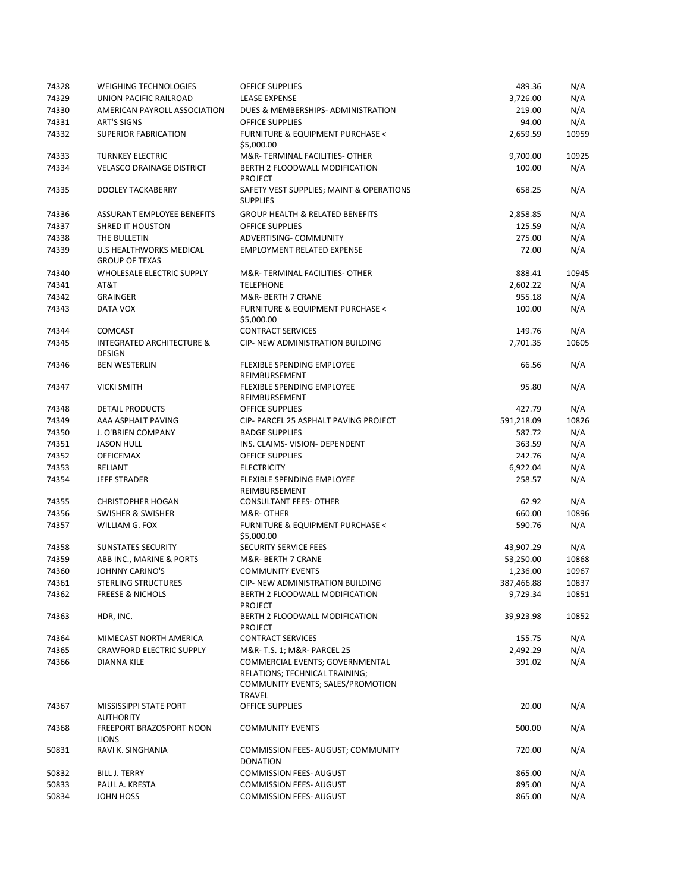| 74328 | <b>WEIGHING TECHNOLOGIES</b>                     | <b>OFFICE SUPPLIES</b>                                                                                                  | 489.36     | N/A   |
|-------|--------------------------------------------------|-------------------------------------------------------------------------------------------------------------------------|------------|-------|
| 74329 | UNION PACIFIC RAILROAD                           | <b>LEASE EXPENSE</b>                                                                                                    | 3,726.00   | N/A   |
| 74330 | AMERICAN PAYROLL ASSOCIATION                     | DUES & MEMBERSHIPS- ADMINISTRATION                                                                                      | 219.00     | N/A   |
| 74331 | <b>ART'S SIGNS</b>                               | <b>OFFICE SUPPLIES</b>                                                                                                  | 94.00      | N/A   |
| 74332 | <b>SUPERIOR FABRICATION</b>                      | <b>FURNITURE &amp; EQUIPMENT PURCHASE &lt;</b><br>\$5,000.00                                                            | 2,659.59   | 10959 |
| 74333 | <b>TURNKEY ELECTRIC</b>                          | M&R-TERMINAL FACILITIES- OTHER                                                                                          | 9,700.00   | 10925 |
| 74334 | <b>VELASCO DRAINAGE DISTRICT</b>                 | BERTH 2 FLOODWALL MODIFICATION<br><b>PROJECT</b>                                                                        | 100.00     | N/A   |
| 74335 | DOOLEY TACKABERRY                                | SAFETY VEST SUPPLIES; MAINT & OPERATIONS<br><b>SUPPLIES</b>                                                             | 658.25     | N/A   |
| 74336 | ASSURANT EMPLOYEE BENEFITS                       | <b>GROUP HEALTH &amp; RELATED BENEFITS</b>                                                                              | 2,858.85   | N/A   |
| 74337 | <b>SHRED IT HOUSTON</b>                          | <b>OFFICE SUPPLIES</b>                                                                                                  | 125.59     | N/A   |
| 74338 | THE BULLETIN                                     | <b>ADVERTISING- COMMUNITY</b>                                                                                           | 275.00     | N/A   |
| 74339 | U.S HEALTHWORKS MEDICAL<br><b>GROUP OF TEXAS</b> | <b>EMPLOYMENT RELATED EXPENSE</b>                                                                                       | 72.00      | N/A   |
| 74340 | <b>WHOLESALE ELECTRIC SUPPLY</b>                 | M&R-TERMINAL FACILITIES- OTHER                                                                                          | 888.41     | 10945 |
| 74341 | AT&T                                             | <b>TELEPHONE</b>                                                                                                        | 2,602.22   | N/A   |
| 74342 | <b>GRAINGER</b>                                  | M&R- BERTH 7 CRANE                                                                                                      | 955.18     | N/A   |
| 74343 | DATA VOX                                         | <b>FURNITURE &amp; EQUIPMENT PURCHASE &lt;</b><br>\$5,000.00                                                            | 100.00     | N/A   |
| 74344 | <b>COMCAST</b>                                   | <b>CONTRACT SERVICES</b>                                                                                                | 149.76     | N/A   |
| 74345 | <b>INTEGRATED ARCHITECTURE &amp;</b><br>DESIGN   | <b>CIP- NEW ADMINISTRATION BUILDING</b>                                                                                 | 7,701.35   | 10605 |
| 74346 | <b>BEN WESTERLIN</b>                             | FLEXIBLE SPENDING EMPLOYEE<br>REIMBURSEMENT                                                                             | 66.56      | N/A   |
| 74347 | <b>VICKI SMITH</b>                               | FLEXIBLE SPENDING EMPLOYEE<br>REIMBURSEMENT                                                                             | 95.80      | N/A   |
| 74348 | <b>DETAIL PRODUCTS</b>                           | <b>OFFICE SUPPLIES</b>                                                                                                  | 427.79     | N/A   |
| 74349 | AAA ASPHALT PAVING                               | CIP- PARCEL 25 ASPHALT PAVING PROJECT                                                                                   | 591,218.09 | 10826 |
| 74350 | J. O'BRIEN COMPANY                               | <b>BADGE SUPPLIES</b>                                                                                                   | 587.72     | N/A   |
| 74351 | <b>JASON HULL</b>                                | INS. CLAIMS- VISION- DEPENDENT                                                                                          | 363.59     | N/A   |
| 74352 | <b>OFFICEMAX</b>                                 | <b>OFFICE SUPPLIES</b>                                                                                                  | 242.76     | N/A   |
| 74353 | RELIANT                                          | <b>ELECTRICITY</b>                                                                                                      | 6,922.04   | N/A   |
| 74354 | <b>JEFF STRADER</b>                              | FLEXIBLE SPENDING EMPLOYEE<br>REIMBURSEMENT                                                                             | 258.57     | N/A   |
| 74355 | <b>CHRISTOPHER HOGAN</b>                         | <b>CONSULTANT FEES- OTHER</b>                                                                                           | 62.92      | N/A   |
| 74356 | SWISHER & SWISHER                                | M&R-OTHER                                                                                                               | 660.00     | 10896 |
| 74357 | WILLIAM G. FOX                                   | <b>FURNITURE &amp; EQUIPMENT PURCHASE &lt;</b><br>\$5,000.00                                                            | 590.76     | N/A   |
| 74358 | <b>SUNSTATES SECURITY</b>                        | SECURITY SERVICE FEES                                                                                                   | 43,907.29  | N/A   |
| 74359 | ABB INC., MARINE & PORTS                         | M&R-BERTH 7 CRANE                                                                                                       | 53,250.00  | 10868 |
| 74360 | <b>JOHNNY CARINO'S</b>                           | <b>COMMUNITY EVENTS</b>                                                                                                 | 1,236.00   | 10967 |
| 74361 | <b>STERLING STRUCTURES</b>                       | CIP- NEW ADMINISTRATION BUILDING                                                                                        | 387,466.88 | 10837 |
| 74362 | <b>FREESE &amp; NICHOLS</b>                      | BERTH 2 FLOODWALL MODIFICATION<br><b>PROJECT</b>                                                                        | 9,729.34   | 10851 |
| 74363 | HDR, INC.                                        | BERTH 2 FLOODWALL MODIFICATION<br><b>PROJECT</b>                                                                        | 39,923.98  | 10852 |
| 74364 | MIMECAST NORTH AMERICA                           | <b>CONTRACT SERVICES</b>                                                                                                | 155.75     | N/A   |
| 74365 | <b>CRAWFORD ELECTRIC SUPPLY</b>                  | M&R- T.S. 1; M&R- PARCEL 25                                                                                             | 2,492.29   | N/A   |
| 74366 | <b>DIANNA KILE</b>                               | COMMERCIAL EVENTS; GOVERNMENTAL<br>RELATIONS; TECHNICAL TRAINING;<br>COMMUNITY EVENTS; SALES/PROMOTION<br><b>TRAVEL</b> | 391.02     | N/A   |
| 74367 | MISSISSIPPI STATE PORT<br><b>AUTHORITY</b>       | OFFICE SUPPLIES                                                                                                         | 20.00      | N/A   |
| 74368 | FREEPORT BRAZOSPORT NOON<br><b>LIONS</b>         | <b>COMMUNITY EVENTS</b>                                                                                                 | 500.00     | N/A   |
| 50831 | RAVI K. SINGHANIA                                | COMMISSION FEES- AUGUST; COMMUNITY<br><b>DONATION</b>                                                                   | 720.00     | N/A   |
| 50832 | <b>BILL J. TERRY</b>                             | <b>COMMISSION FEES- AUGUST</b>                                                                                          | 865.00     | N/A   |
| 50833 | PAUL A. KRESTA                                   | <b>COMMISSION FEES- AUGUST</b>                                                                                          | 895.00     | N/A   |
| 50834 | JOHN HOSS                                        | <b>COMMISSION FEES- AUGUST</b>                                                                                          | 865.00     | N/A   |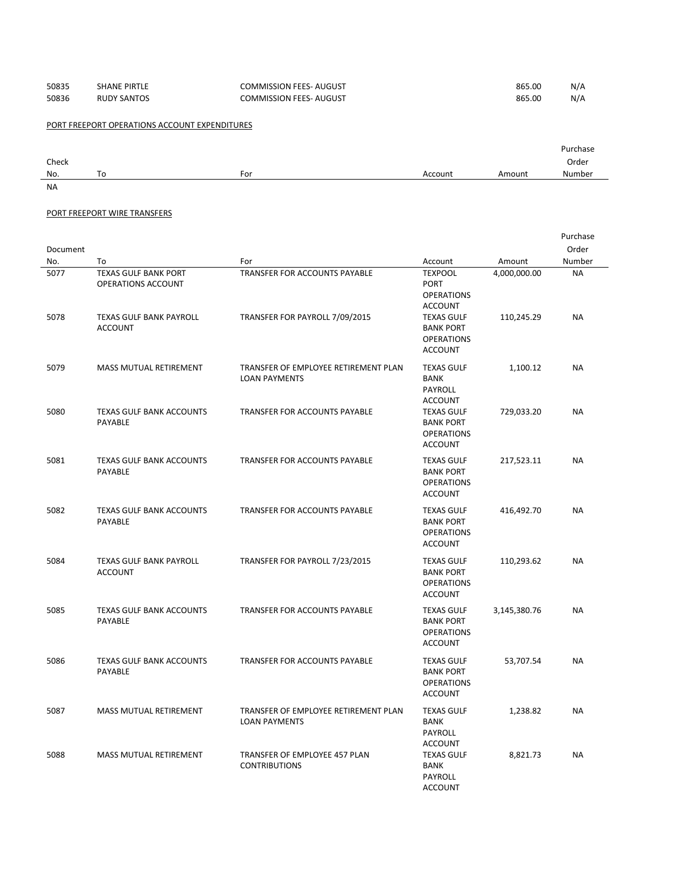| 50835 | <b>SHANE PIRTLE</b> | <b>COMMISSION FEES- AUGUST</b> | 865.00 | N/A |
|-------|---------------------|--------------------------------|--------|-----|
| 50836 | <b>RUDY SANTOS</b>  | <b>COMMISSION FEES- AUGUST</b> | 865.00 | N/A |

PORT FREEPORT OPERATIONS ACCOUNT EXPENDITURES

|       |    |     |         |        | Purchase |
|-------|----|-----|---------|--------|----------|
| Check |    |     |         |        | Order    |
| No.   | To | For | Account | Amount | Number   |
| NA    |    |     |         |        |          |

## PORT FREEPORT WIRE TRANSFERS

|              |                                                                                     |                                                                        |                                                                                           |                            | Purchase               |
|--------------|-------------------------------------------------------------------------------------|------------------------------------------------------------------------|-------------------------------------------------------------------------------------------|----------------------------|------------------------|
| Document     |                                                                                     |                                                                        |                                                                                           |                            | Order                  |
| No.          | To                                                                                  | For                                                                    | Account                                                                                   | Amount                     | Number                 |
| 5077<br>5078 | <b>TEXAS GULF BANK PORT</b><br>OPERATIONS ACCOUNT<br><b>TEXAS GULF BANK PAYROLL</b> | <b>TRANSFER FOR ACCOUNTS PAYABLE</b><br>TRANSFER FOR PAYROLL 7/09/2015 | <b>TEXPOOL</b><br><b>PORT</b><br><b>OPERATIONS</b><br><b>ACCOUNT</b><br><b>TEXAS GULF</b> | 4,000,000.00<br>110,245.29 | <b>NA</b><br><b>NA</b> |
|              | <b>ACCOUNT</b>                                                                      |                                                                        | <b>BANK PORT</b><br><b>OPERATIONS</b><br><b>ACCOUNT</b>                                   |                            |                        |
| 5079         | MASS MUTUAL RETIREMENT                                                              | TRANSFER OF EMPLOYEE RETIREMENT PLAN<br><b>LOAN PAYMENTS</b>           | <b>TEXAS GULF</b><br><b>BANK</b><br>PAYROLL<br><b>ACCOUNT</b>                             | 1,100.12                   | <b>NA</b>              |
| 5080         | <b>TEXAS GULF BANK ACCOUNTS</b><br><b>PAYABLE</b>                                   | TRANSFER FOR ACCOUNTS PAYABLE                                          | <b>TEXAS GULF</b><br><b>BANK PORT</b><br><b>OPERATIONS</b><br><b>ACCOUNT</b>              | 729,033.20                 | NA                     |
| 5081         | <b>TEXAS GULF BANK ACCOUNTS</b><br><b>PAYABLE</b>                                   | TRANSFER FOR ACCOUNTS PAYABLE                                          | <b>TEXAS GULF</b><br><b>BANK PORT</b><br><b>OPERATIONS</b><br><b>ACCOUNT</b>              | 217,523.11                 | <b>NA</b>              |
| 5082         | <b>TEXAS GULF BANK ACCOUNTS</b><br><b>PAYABLE</b>                                   | TRANSFER FOR ACCOUNTS PAYABLE                                          | <b>TEXAS GULF</b><br><b>BANK PORT</b><br><b>OPERATIONS</b><br><b>ACCOUNT</b>              | 416,492.70                 | <b>NA</b>              |
| 5084         | <b>TEXAS GULF BANK PAYROLL</b><br><b>ACCOUNT</b>                                    | TRANSFER FOR PAYROLL 7/23/2015                                         | <b>TEXAS GULF</b><br><b>BANK PORT</b><br><b>OPERATIONS</b><br><b>ACCOUNT</b>              | 110,293.62                 | <b>NA</b>              |
| 5085         | <b>TEXAS GULF BANK ACCOUNTS</b><br><b>PAYABLE</b>                                   | <b>TRANSFER FOR ACCOUNTS PAYABLE</b>                                   | <b>TEXAS GULF</b><br><b>BANK PORT</b><br><b>OPERATIONS</b><br><b>ACCOUNT</b>              | 3,145,380.76               | <b>NA</b>              |
| 5086         | TEXAS GULF BANK ACCOUNTS<br><b>PAYABLE</b>                                          | TRANSFER FOR ACCOUNTS PAYABLE                                          | <b>TEXAS GULF</b><br><b>BANK PORT</b><br><b>OPERATIONS</b><br><b>ACCOUNT</b>              | 53,707.54                  | <b>NA</b>              |
| 5087         | MASS MUTUAL RETIREMENT                                                              | TRANSFER OF EMPLOYEE RETIREMENT PLAN<br><b>LOAN PAYMENTS</b>           | <b>TEXAS GULF</b><br><b>BANK</b><br><b>PAYROLL</b><br><b>ACCOUNT</b>                      | 1,238.82                   | <b>NA</b>              |
| 5088         | MASS MUTUAL RETIREMENT                                                              | TRANSFER OF EMPLOYEE 457 PLAN<br><b>CONTRIBUTIONS</b>                  | <b>TEXAS GULF</b><br><b>BANK</b><br>PAYROLL<br><b>ACCOUNT</b>                             | 8,821.73                   | <b>NA</b>              |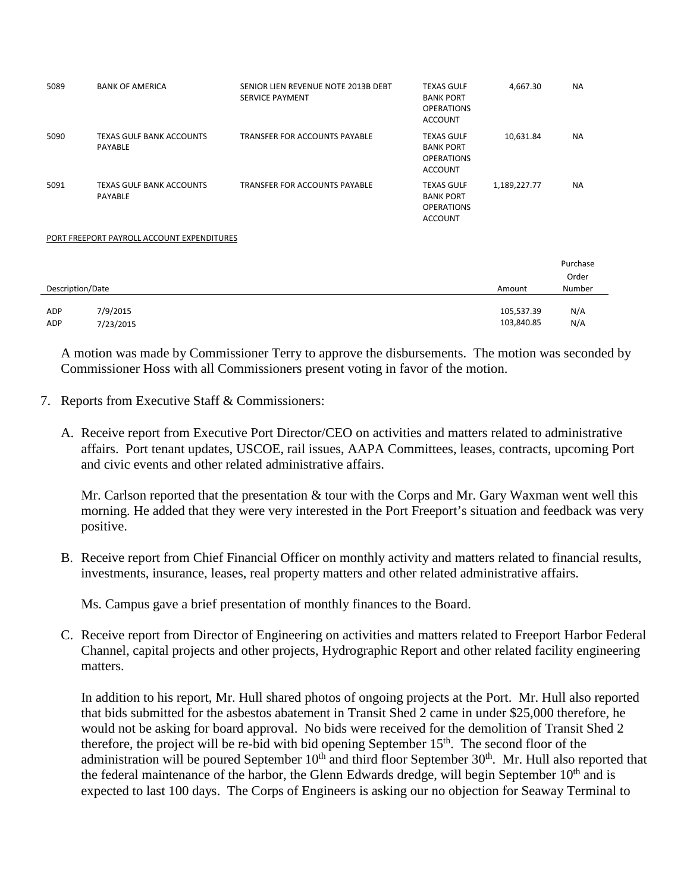| 5089             | <b>BANK OF AMERICA</b>                     | SENIOR LIEN REVENUE NOTE 2013B DEBT<br>SERVICE PAYMENT | <b>TEXAS GULF</b><br><b>BANK PORT</b><br><b>OPERATIONS</b><br><b>ACCOUNT</b> | 4,667.30                 | <b>NA</b>         |
|------------------|--------------------------------------------|--------------------------------------------------------|------------------------------------------------------------------------------|--------------------------|-------------------|
| 5090             | <b>TEXAS GULF BANK ACCOUNTS</b><br>PAYABLE | <b>TRANSFER FOR ACCOUNTS PAYABLE</b>                   | <b>TEXAS GULF</b><br><b>BANK PORT</b><br><b>OPERATIONS</b><br><b>ACCOUNT</b> | 10,631.84                | <b>NA</b>         |
| 5091             | <b>TEXAS GULF BANK ACCOUNTS</b><br>PAYABLE | <b>TRANSFER FOR ACCOUNTS PAYABLE</b>                   | <b>TEXAS GULF</b><br><b>BANK PORT</b><br><b>OPERATIONS</b><br><b>ACCOUNT</b> | 1,189,227.77             | <b>NA</b>         |
|                  | PORT FREEPORT PAYROLL ACCOUNT EXPENDITURES |                                                        |                                                                              |                          |                   |
|                  |                                            |                                                        |                                                                              |                          | Purchase<br>Order |
| Description/Date |                                            |                                                        |                                                                              | Amount                   | Number            |
| ADP<br>ADP       | 7/9/2015<br>7/23/2015                      |                                                        |                                                                              | 105,537.39<br>103,840.85 | N/A<br>N/A        |

A motion was made by Commissioner Terry to approve the disbursements. The motion was seconded by Commissioner Hoss with all Commissioners present voting in favor of the motion.

- 7. Reports from Executive Staff & Commissioners:
	- A. Receive report from Executive Port Director/CEO on activities and matters related to administrative affairs. Port tenant updates, USCOE, rail issues, AAPA Committees, leases, contracts, upcoming Port and civic events and other related administrative affairs.

Mr. Carlson reported that the presentation & tour with the Corps and Mr. Gary Waxman went well this morning. He added that they were very interested in the Port Freeport's situation and feedback was very positive.

B. Receive report from Chief Financial Officer on monthly activity and matters related to financial results, investments, insurance, leases, real property matters and other related administrative affairs.

Ms. Campus gave a brief presentation of monthly finances to the Board.

C. Receive report from Director of Engineering on activities and matters related to Freeport Harbor Federal Channel, capital projects and other projects, Hydrographic Report and other related facility engineering matters.

In addition to his report, Mr. Hull shared photos of ongoing projects at the Port. Mr. Hull also reported that bids submitted for the asbestos abatement in Transit Shed 2 came in under \$25,000 therefore, he would not be asking for board approval. No bids were received for the demolition of Transit Shed 2 therefore, the project will be re-bid with bid opening September 15<sup>th</sup>. The second floor of the administration will be poured September  $10<sup>th</sup>$  and third floor September  $30<sup>th</sup>$ . Mr. Hull also reported that the federal maintenance of the harbor, the Glenn Edwards dredge, will begin September  $10<sup>th</sup>$  and is expected to last 100 days. The Corps of Engineers is asking our no objection for Seaway Terminal to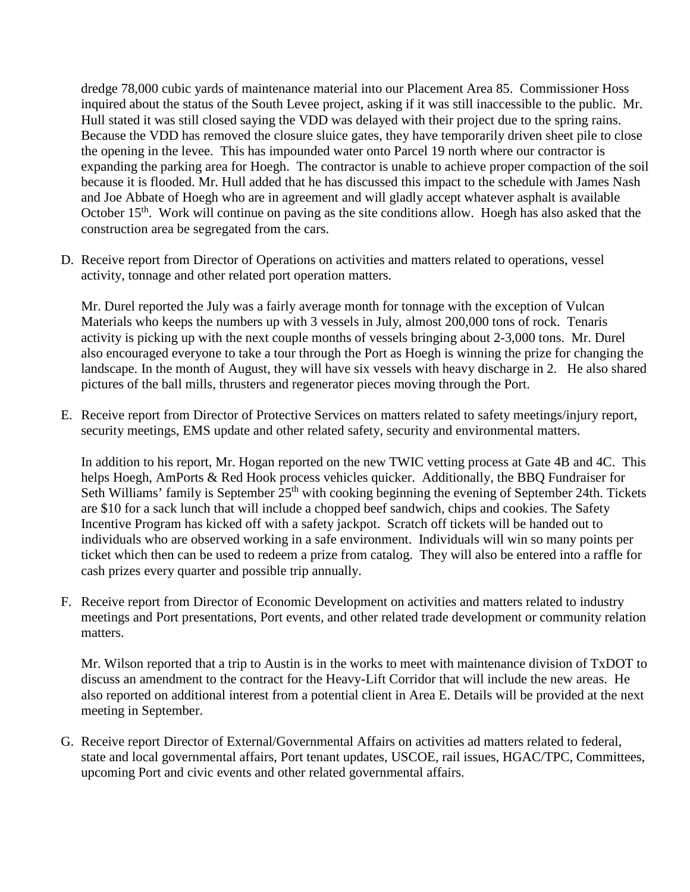dredge 78,000 cubic yards of maintenance material into our Placement Area 85. Commissioner Hoss inquired about the status of the South Levee project, asking if it was still inaccessible to the public. Mr. Hull stated it was still closed saying the VDD was delayed with their project due to the spring rains. Because the VDD has removed the closure sluice gates, they have temporarily driven sheet pile to close the opening in the levee. This has impounded water onto Parcel 19 north where our contractor is expanding the parking area for Hoegh. The contractor is unable to achieve proper compaction of the soil because it is flooded. Mr. Hull added that he has discussed this impact to the schedule with James Nash and Joe Abbate of Hoegh who are in agreement and will gladly accept whatever asphalt is available October 15<sup>th</sup>. Work will continue on paving as the site conditions allow. Hoegh has also asked that the construction area be segregated from the cars.

D. Receive report from Director of Operations on activities and matters related to operations, vessel activity, tonnage and other related port operation matters.

Mr. Durel reported the July was a fairly average month for tonnage with the exception of Vulcan Materials who keeps the numbers up with 3 vessels in July, almost 200,000 tons of rock. Tenaris activity is picking up with the next couple months of vessels bringing about 2-3,000 tons. Mr. Durel also encouraged everyone to take a tour through the Port as Hoegh is winning the prize for changing the landscape. In the month of August, they will have six vessels with heavy discharge in 2. He also shared pictures of the ball mills, thrusters and regenerator pieces moving through the Port.

E. Receive report from Director of Protective Services on matters related to safety meetings/injury report, security meetings, EMS update and other related safety, security and environmental matters.

In addition to his report, Mr. Hogan reported on the new TWIC vetting process at Gate 4B and 4C. This helps Hoegh, AmPorts & Red Hook process vehicles quicker. Additionally, the BBQ Fundraiser for Seth Williams' family is September  $25<sup>th</sup>$  with cooking beginning the evening of September 24th. Tickets are \$10 for a sack lunch that will include a chopped beef sandwich, chips and cookies. The Safety Incentive Program has kicked off with a safety jackpot. Scratch off tickets will be handed out to individuals who are observed working in a safe environment. Individuals will win so many points per ticket which then can be used to redeem a prize from catalog. They will also be entered into a raffle for cash prizes every quarter and possible trip annually.

F. Receive report from Director of Economic Development on activities and matters related to industry meetings and Port presentations, Port events, and other related trade development or community relation matters.

Mr. Wilson reported that a trip to Austin is in the works to meet with maintenance division of TxDOT to discuss an amendment to the contract for the Heavy-Lift Corridor that will include the new areas. He also reported on additional interest from a potential client in Area E. Details will be provided at the next meeting in September.

G. Receive report Director of External/Governmental Affairs on activities ad matters related to federal, state and local governmental affairs, Port tenant updates, USCOE, rail issues, HGAC/TPC, Committees, upcoming Port and civic events and other related governmental affairs.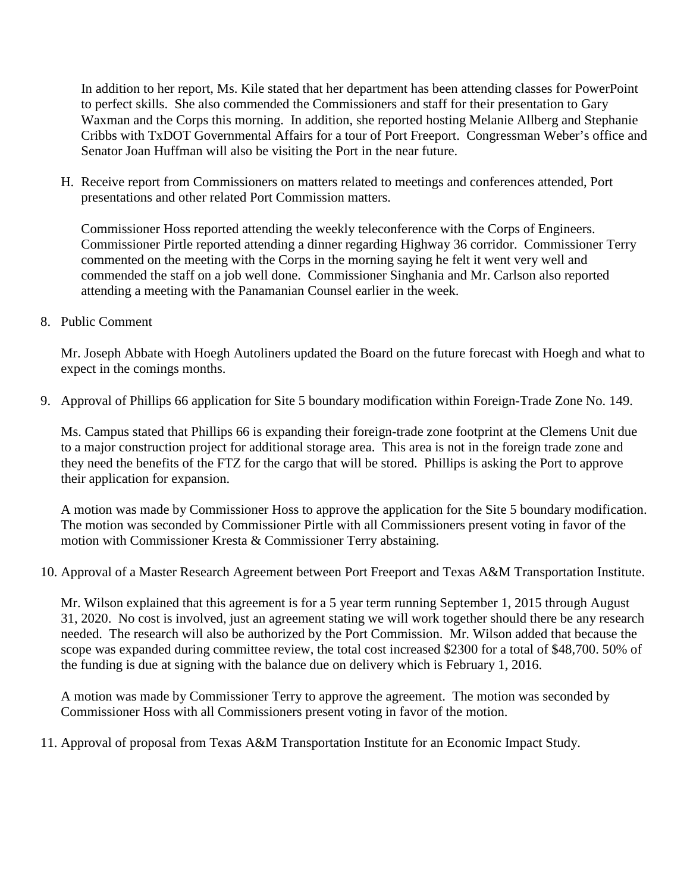In addition to her report, Ms. Kile stated that her department has been attending classes for PowerPoint to perfect skills. She also commended the Commissioners and staff for their presentation to Gary Waxman and the Corps this morning. In addition, she reported hosting Melanie Allberg and Stephanie Cribbs with TxDOT Governmental Affairs for a tour of Port Freeport. Congressman Weber's office and Senator Joan Huffman will also be visiting the Port in the near future.

H. Receive report from Commissioners on matters related to meetings and conferences attended, Port presentations and other related Port Commission matters.

Commissioner Hoss reported attending the weekly teleconference with the Corps of Engineers. Commissioner Pirtle reported attending a dinner regarding Highway 36 corridor. Commissioner Terry commented on the meeting with the Corps in the morning saying he felt it went very well and commended the staff on a job well done. Commissioner Singhania and Mr. Carlson also reported attending a meeting with the Panamanian Counsel earlier in the week.

8. Public Comment

Mr. Joseph Abbate with Hoegh Autoliners updated the Board on the future forecast with Hoegh and what to expect in the comings months.

9. Approval of Phillips 66 application for Site 5 boundary modification within Foreign-Trade Zone No. 149.

Ms. Campus stated that Phillips 66 is expanding their foreign-trade zone footprint at the Clemens Unit due to a major construction project for additional storage area. This area is not in the foreign trade zone and they need the benefits of the FTZ for the cargo that will be stored. Phillips is asking the Port to approve their application for expansion.

A motion was made by Commissioner Hoss to approve the application for the Site 5 boundary modification. The motion was seconded by Commissioner Pirtle with all Commissioners present voting in favor of the motion with Commissioner Kresta & Commissioner Terry abstaining.

10. Approval of a Master Research Agreement between Port Freeport and Texas A&M Transportation Institute.

Mr. Wilson explained that this agreement is for a 5 year term running September 1, 2015 through August 31, 2020. No cost is involved, just an agreement stating we will work together should there be any research needed. The research will also be authorized by the Port Commission. Mr. Wilson added that because the scope was expanded during committee review, the total cost increased \$2300 for a total of \$48,700. 50% of the funding is due at signing with the balance due on delivery which is February 1, 2016.

A motion was made by Commissioner Terry to approve the agreement. The motion was seconded by Commissioner Hoss with all Commissioners present voting in favor of the motion.

11. Approval of proposal from Texas A&M Transportation Institute for an Economic Impact Study.